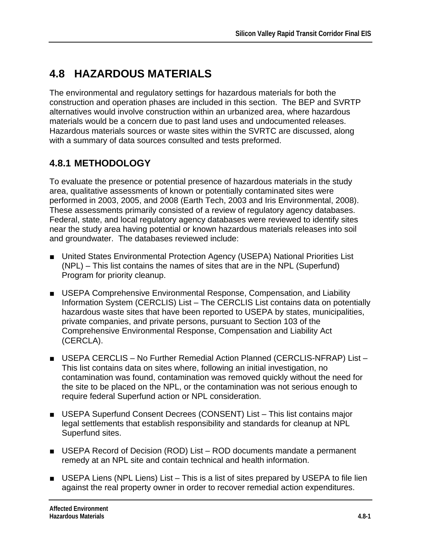# **4.8 HAZARDOUS MATERIALS**

The environmental and regulatory settings for hazardous materials for both the construction and operation phases are included in this section. The BEP and SVRTP alternatives would involve construction within an urbanized area, where hazardous materials would be a concern due to past land uses and undocumented releases. Hazardous materials sources or waste sites within the SVRTC are discussed, along with a summary of data sources consulted and tests preformed.

## **4.8.1 METHODOLOGY**

To evaluate the presence or potential presence of hazardous materials in the study area, qualitative assessments of known or potentially contaminated sites were performed in 2003, 2005, and 2008 (Earth Tech, 2003 and Iris Environmental, 2008). These assessments primarily consisted of a review of regulatory agency databases. Federal, state, and local regulatory agency databases were reviewed to identify sites near the study area having potential or known hazardous materials releases into soil and groundwater. The databases reviewed include:

- United States Environmental Protection Agency (USEPA) National Priorities List (NPL) – This list contains the names of sites that are in the NPL (Superfund) Program for priority cleanup.
- USEPA Comprehensive Environmental Response, Compensation, and Liability Information System (CERCLIS) List – The CERCLIS List contains data on potentially hazardous waste sites that have been reported to USEPA by states, municipalities, private companies, and private persons, pursuant to Section 103 of the Comprehensive Environmental Response, Compensation and Liability Act (CERCLA).
- USEPA CERCLIS No Further Remedial Action Planned (CERCLIS-NFRAP) List This list contains data on sites where, following an initial investigation, no contamination was found, contamination was removed quickly without the need for the site to be placed on the NPL, or the contamination was not serious enough to require federal Superfund action or NPL consideration.
- USEPA Superfund Consent Decrees (CONSENT) List This list contains major legal settlements that establish responsibility and standards for cleanup at NPL Superfund sites.
- USEPA Record of Decision (ROD) List ROD documents mandate a permanent remedy at an NPL site and contain technical and health information.
- USEPA Liens (NPL Liens) List This is a list of sites prepared by USEPA to file lien against the real property owner in order to recover remedial action expenditures.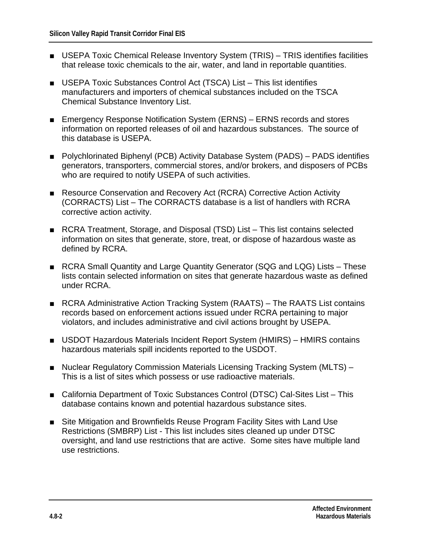- USEPA Toxic Chemical Release Inventory System (TRIS) TRIS identifies facilities that release toxic chemicals to the air, water, and land in reportable quantities.
- USEPA Toxic Substances Control Act (TSCA) List This list identifies manufacturers and importers of chemical substances included on the TSCA Chemical Substance Inventory List.
- Emergency Response Notification System (ERNS) ERNS records and stores information on reported releases of oil and hazardous substances. The source of this database is USEPA.
- Polychlorinated Biphenyl (PCB) Activity Database System (PADS) PADS identifies generators, transporters, commercial stores, and/or brokers, and disposers of PCBs who are required to notify USEPA of such activities.
- Resource Conservation and Recovery Act (RCRA) Corrective Action Activity (CORRACTS) List – The CORRACTS database is a list of handlers with RCRA corrective action activity.
- RCRA Treatment, Storage, and Disposal (TSD) List This list contains selected information on sites that generate, store, treat, or dispose of hazardous waste as defined by RCRA.
- RCRA Small Quantity and Large Quantity Generator (SQG and LQG) Lists These lists contain selected information on sites that generate hazardous waste as defined under RCRA.
- RCRA Administrative Action Tracking System (RAATS) The RAATS List contains records based on enforcement actions issued under RCRA pertaining to major violators, and includes administrative and civil actions brought by USEPA.
- USDOT Hazardous Materials Incident Report System (HMIRS) HMIRS contains hazardous materials spill incidents reported to the USDOT.
- Nuclear Regulatory Commission Materials Licensing Tracking System (MLTS) This is a list of sites which possess or use radioactive materials.
- California Department of Toxic Substances Control (DTSC) Cal-Sites List This database contains known and potential hazardous substance sites.
- Site Mitigation and Brownfields Reuse Program Facility Sites with Land Use Restrictions (SMBRP) List - This list includes sites cleaned up under DTSC oversight, and land use restrictions that are active. Some sites have multiple land use restrictions.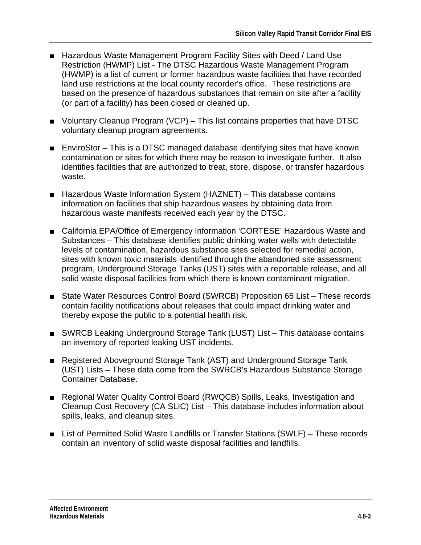- Hazardous Waste Management Program Facility Sites with Deed / Land Use Restriction (HWMP) List - The DTSC Hazardous Waste Management Program (HWMP) is a list of current or former hazardous waste facilities that have recorded land use restrictions at the local county recorder's office. These restrictions are based on the presence of hazardous substances that remain on site after a facility (or part of a facility) has been closed or cleaned up.
- Voluntary Cleanup Program (VCP) This list contains properties that have DTSC voluntary cleanup program agreements.
- EnviroStor This is a DTSC managed database identifying sites that have known contamination or sites for which there may be reason to investigate further. It also identifies facilities that are authorized to treat, store, dispose, or transfer hazardous waste.
- Hazardous Waste Information System (HAZNET) This database contains information on facilities that ship hazardous wastes by obtaining data from hazardous waste manifests received each year by the DTSC.
- California EPA/Office of Emergency Information 'CORTESE' Hazardous Waste and Substances – This database identifies public drinking water wells with detectable levels of contamination, hazardous substance sites selected for remedial action, sites with known toxic materials identified through the abandoned site assessment program, Underground Storage Tanks (UST) sites with a reportable release, and all solid waste disposal facilities from which there is known contaminant migration.
- State Water Resources Control Board (SWRCB) Proposition 65 List These records contain facility notifications about releases that could impact drinking water and thereby expose the public to a potential health risk.
- SWRCB Leaking Underground Storage Tank (LUST) List This database contains an inventory of reported leaking UST incidents.
- Registered Aboveground Storage Tank (AST) and Underground Storage Tank (UST) Lists – These data come from the SWRCB's Hazardous Substance Storage Container Database.
- Regional Water Quality Control Board (RWQCB) Spills, Leaks, Investigation and Cleanup Cost Recovery (CA SLIC) List – This database includes information about spills, leaks, and cleanup sites.
- List of Permitted Solid Waste Landfills or Transfer Stations (SWLF) These records contain an inventory of solid waste disposal facilities and landfills.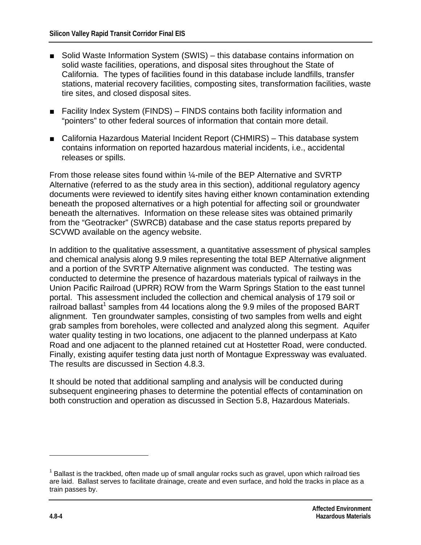- Solid Waste Information System (SWIS) this database contains information on solid waste facilities, operations, and disposal sites throughout the State of California. The types of facilities found in this database include landfills, transfer stations, material recovery facilities, composting sites, transformation facilities, waste tire sites, and closed disposal sites.
- Facility Index System (FINDS) FINDS contains both facility information and "pointers" to other federal sources of information that contain more detail.
- California Hazardous Material Incident Report (CHMIRS) This database system contains information on reported hazardous material incidents, i.e., accidental releases or spills.

From those release sites found within ¼-mile of the BEP Alternative and SVRTP Alternative (referred to as the study area in this section), additional regulatory agency documents were reviewed to identify sites having either known contamination extending beneath the proposed alternatives or a high potential for affecting soil or groundwater beneath the alternatives. Information on these release sites was obtained primarily from the "Geotracker" (SWRCB) database and the case status reports prepared by SCVWD available on the agency website.

In addition to the qualitative assessment, a quantitative assessment of physical samples and chemical analysis along 9.9 miles representing the total BEP Alternative alignment and a portion of the SVRTP Alternative alignment was conducted. The testing was conducted to determine the presence of hazardous materials typical of railways in the Union Pacific Railroad (UPRR) ROW from the Warm Springs Station to the east tunnel portal. This assessment included the collection and chemical analysis of 179 soil or  $\overline{\phantom{a}}$  railroad ballast<sup>1</sup> samples from 44 locations along the 9.9 miles of the proposed BART alignment. Ten groundwater samples, consisting of two samples from wells and eight grab samples from boreholes, were collected and analyzed along this segment. Aquifer water quality testing in two locations, one adjacent to the planned underpass at Kato Road and one adjacent to the planned retained cut at Hostetter Road, were conducted. Finally, existing aquifer testing data just north of Montague Expressway was evaluated. The results are discussed in Section 4.8.3.

It should be noted that additional sampling and analysis will be conducted during subsequent engineering phases to determine the potential effects of contamination on both construction and operation as discussed in Section 5.8, Hazardous Materials.

1

 $1$  Ballast is the trackbed, often made up of small angular rocks such as gravel, upon which railroad ties are laid. Ballast serves to facilitate drainage, create and even surface, and hold the tracks in place as a train passes by.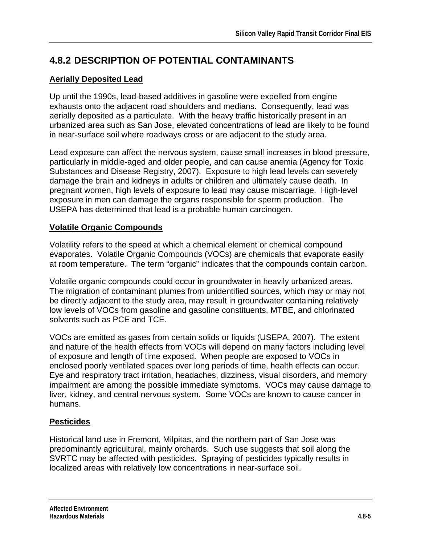## **4.8.2 DESCRIPTION OF POTENTIAL CONTAMINANTS**

## **Aerially Deposited Lead**

Up until the 1990s, lead-based additives in gasoline were expelled from engine exhausts onto the adjacent road shoulders and medians. Consequently, lead was aerially deposited as a particulate. With the heavy traffic historically present in an urbanized area such as San Jose, elevated concentrations of lead are likely to be found in near-surface soil where roadways cross or are adjacent to the study area.

Lead exposure can affect the nervous system, cause small increases in blood pressure, particularly in middle-aged and older people, and can cause anemia (Agency for Toxic Substances and Disease Registry, 2007). Exposure to high lead levels can severely damage the brain and kidneys in adults or children and ultimately cause death. In pregnant women, high levels of exposure to lead may cause miscarriage. High-level exposure in men can damage the organs responsible for sperm production. The USEPA has determined that lead is a probable human carcinogen.

## **Volatile Organic Compounds**

Volatility refers to the speed at which a chemical element or chemical compound evaporates. Volatile Organic Compounds (VOCs) are chemicals that evaporate easily at room temperature. The term "organic" indicates that the compounds contain carbon.

Volatile organic compounds could occur in groundwater in heavily urbanized areas. The migration of contaminant plumes from unidentified sources, which may or may not be directly adjacent to the study area, may result in groundwater containing relatively low levels of VOCs from gasoline and gasoline constituents, MTBE, and chlorinated solvents such as PCE and TCE.

VOCs are emitted as gases from certain solids or liquids (USEPA, 2007). The extent and nature of the health effects from VOCs will depend on many factors including level of exposure and length of time exposed. When people are exposed to VOCs in enclosed poorly ventilated spaces over long periods of time, health effects can occur. Eye and respiratory tract irritation, headaches, dizziness, visual disorders, and memory impairment are among the possible immediate symptoms. VOCs may cause damage to liver, kidney, and central nervous system. Some VOCs are known to cause cancer in humans.

## **Pesticides**

Historical land use in Fremont, Milpitas, and the northern part of San Jose was predominantly agricultural, mainly orchards. Such use suggests that soil along the SVRTC may be affected with pesticides. Spraying of pesticides typically results in localized areas with relatively low concentrations in near-surface soil.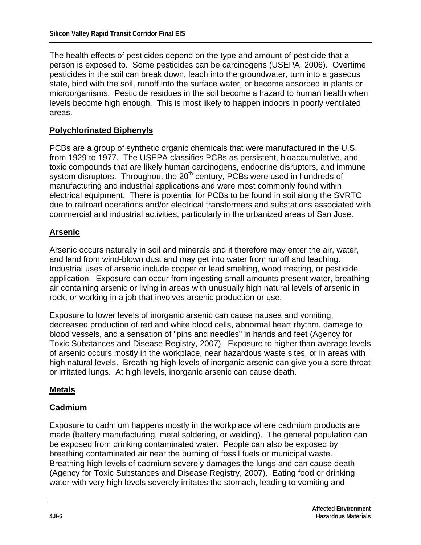The health effects of pesticides depend on the type and amount of pesticide that a person is exposed to. Some pesticides can be carcinogens (USEPA, 2006). Overtime pesticides in the soil can break down, leach into the groundwater, turn into a gaseous state, bind with the soil, runoff into the surface water, or become absorbed in plants or microorganisms. Pesticide residues in the soil become a hazard to human health when levels become high enough. This is most likely to happen indoors in poorly ventilated areas.

#### **Polychlorinated Biphenyls**

PCBs are a group of synthetic organic chemicals that were manufactured in the U.S. from 1929 to 1977. The USEPA classifies PCBs as persistent, bioaccumulative, and toxic compounds that are likely human carcinogens, endocrine disruptors, and immune system disruptors. Throughout the 20<sup>th</sup> century, PCBs were used in hundreds of manufacturing and industrial applications and were most commonly found within electrical equipment. There is potential for PCBs to be found in soil along the SVRTC due to railroad operations and/or electrical transformers and substations associated with commercial and industrial activities, particularly in the urbanized areas of San Jose.

## **Arsenic**

Arsenic occurs naturally in soil and minerals and it therefore may enter the air, water, and land from wind-blown dust and may get into water from runoff and leaching. Industrial uses of arsenic include copper or lead smelting, wood treating, or pesticide application. Exposure can occur from ingesting small amounts present water, breathing air containing arsenic or living in areas with unusually high natural levels of arsenic in rock, or working in a job that involves arsenic production or use.

Exposure to lower levels of inorganic arsenic can cause nausea and vomiting, decreased production of red and white blood cells, abnormal heart rhythm, damage to blood vessels, and a sensation of "pins and needles" in hands and feet (Agency for Toxic Substances and Disease Registry, 2007). Exposure to higher than average levels of arsenic occurs mostly in the workplace, near hazardous waste sites, or in areas with high natural levels. Breathing high levels of inorganic arsenic can give you a sore throat or irritated lungs. At high levels, inorganic arsenic can cause death.

#### **Metals**

#### **Cadmium**

Exposure to cadmium happens mostly in the workplace where cadmium products are made (battery manufacturing, metal soldering, or welding). The general population can be exposed from drinking contaminated water. People can also be exposed by breathing contaminated air near the burning of fossil fuels or municipal waste. Breathing high levels of cadmium severely damages the lungs and can cause death (Agency for Toxic Substances and Disease Registry, 2007). Eating food or drinking water with very high levels severely irritates the stomach, leading to vomiting and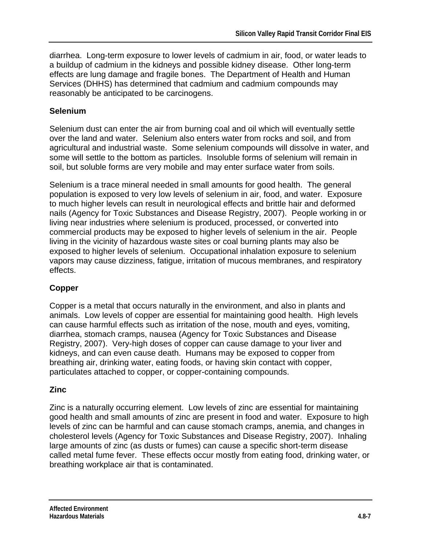diarrhea. Long-term exposure to lower levels of cadmium in air, food, or water leads to a buildup of cadmium in the kidneys and possible kidney disease. Other long-term effects are lung damage and fragile bones. The Department of Health and Human Services (DHHS) has determined that cadmium and cadmium compounds may reasonably be anticipated to be carcinogens.

## **Selenium**

Selenium dust can enter the air from burning coal and oil which will eventually settle over the land and water. Selenium also enters water from rocks and soil, and from agricultural and industrial waste. Some selenium compounds will dissolve in water, and some will settle to the bottom as particles. Insoluble forms of selenium will remain in soil, but soluble forms are very mobile and may enter surface water from soils.

Selenium is a trace mineral needed in small amounts for good health. The general population is exposed to very low levels of selenium in air, food, and water. Exposure to much higher levels can result in neurological effects and brittle hair and deformed nails (Agency for Toxic Substances and Disease Registry, 2007). People working in or living near industries where selenium is produced, processed, or converted into commercial products may be exposed to higher levels of selenium in the air. People living in the vicinity of hazardous waste sites or coal burning plants may also be exposed to higher levels of selenium. Occupational inhalation exposure to selenium vapors may cause dizziness, fatigue, irritation of mucous membranes, and respiratory effects.

## **Copper**

Copper is a metal that occurs naturally in the environment, and also in plants and animals. Low levels of copper are essential for maintaining good health. High levels can cause harmful effects such as irritation of the nose, mouth and eyes, vomiting, diarrhea, stomach cramps, nausea (Agency for Toxic Substances and Disease Registry, 2007). Very-high doses of copper can cause damage to your liver and kidneys, and can even cause death. Humans may be exposed to copper from breathing air, drinking water, eating foods, or having skin contact with copper, particulates attached to copper, or copper-containing compounds.

## **Zinc**

Zinc is a naturally occurring element. Low levels of zinc are essential for maintaining good health and small amounts of zinc are present in food and water. Exposure to high levels of zinc can be harmful and can cause stomach cramps, anemia, and changes in cholesterol levels (Agency for Toxic Substances and Disease Registry, 2007). Inhaling large amounts of zinc (as dusts or fumes) can cause a specific short-term disease called metal fume fever. These effects occur mostly from eating food, drinking water, or breathing workplace air that is contaminated.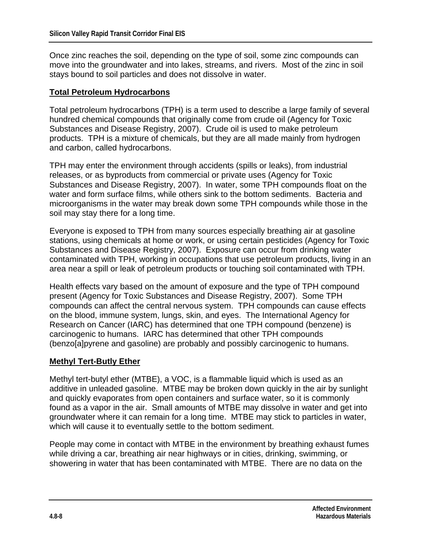Once zinc reaches the soil, depending on the type of soil, some zinc compounds can move into the groundwater and into lakes, streams, and rivers. Most of the zinc in soil stays bound to soil particles and does not dissolve in water.

#### **Total Petroleum Hydrocarbons**

Total petroleum hydrocarbons (TPH) is a term used to describe a large family of several hundred chemical compounds that originally come from crude oil (Agency for Toxic Substances and Disease Registry, 2007). Crude oil is used to make petroleum products. TPH is a mixture of chemicals, but they are all made mainly from hydrogen and carbon, called hydrocarbons.

TPH may enter the environment through accidents (spills or leaks), from industrial releases, or as byproducts from commercial or private uses (Agency for Toxic Substances and Disease Registry, 2007). In water, some TPH compounds float on the water and form surface films, while others sink to the bottom sediments. Bacteria and microorganisms in the water may break down some TPH compounds while those in the soil may stay there for a long time.

Everyone is exposed to TPH from many sources especially breathing air at gasoline stations, using chemicals at home or work, or using certain pesticides (Agency for Toxic Substances and Disease Registry, 2007). Exposure can occur from drinking water contaminated with TPH, working in occupations that use petroleum products, living in an area near a spill or leak of petroleum products or touching soil contaminated with TPH.

Health effects vary based on the amount of exposure and the type of TPH compound present (Agency for Toxic Substances and Disease Registry, 2007). Some TPH compounds can affect the central nervous system. TPH compounds can cause effects on the blood, immune system, lungs, skin, and eyes. The International Agency for Research on Cancer (IARC) has determined that one TPH compound (benzene) is carcinogenic to humans. IARC has determined that other TPH compounds (benzo[a]pyrene and gasoline) are probably and possibly carcinogenic to humans.

#### **Methyl Tert-Butly Ether**

Methyl tert-butyl ether (MTBE), a VOC, is a flammable liquid which is used as an additive in unleaded gasoline. MTBE may be broken down quickly in the air by sunlight and quickly evaporates from open containers and surface water, so it is commonly found as a vapor in the air. Small amounts of MTBE may dissolve in water and get into groundwater where it can remain for a long time. MTBE may stick to particles in water, which will cause it to eventually settle to the bottom sediment.

People may come in contact with MTBE in the environment by breathing exhaust fumes while driving a car, breathing air near highways or in cities, drinking, swimming, or showering in water that has been contaminated with MTBE. There are no data on the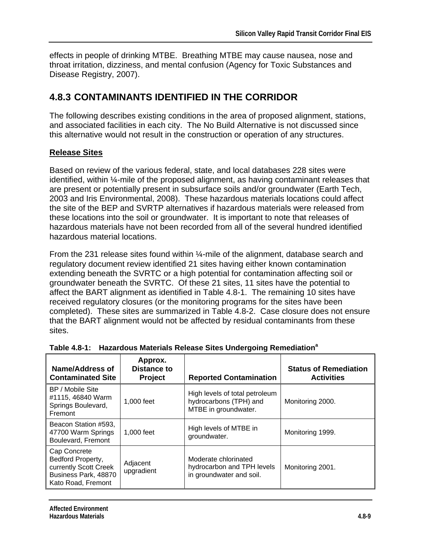effects in people of drinking MTBE. Breathing MTBE may cause nausea, nose and throat irritation, dizziness, and mental confusion (Agency for Toxic Substances and Disease Registry, 2007).

## **4.8.3 CONTAMINANTS IDENTIFIED IN THE CORRIDOR**

The following describes existing conditions in the area of proposed alignment, stations, and associated facilities in each city. The No Build Alternative is not discussed since this alternative would not result in the construction or operation of any structures.

## **Release Sites**

Based on review of the various federal, state, and local databases 228 sites were identified, within ¼-mile of the proposed alignment, as having contaminant releases that are present or potentially present in subsurface soils and/or groundwater (Earth Tech, 2003 and Iris Environmental, 2008). These hazardous materials locations could affect the site of the BEP and SVRTP alternatives if hazardous materials were released from these locations into the soil or groundwater. It is important to note that releases of hazardous materials have not been recorded from all of the several hundred identified hazardous material locations.

From the 231 release sites found within ¼-mile of the alignment, database search and regulatory document review identified 21 sites having either known contamination extending beneath the SVRTC or a high potential for contamination affecting soil or groundwater beneath the SVRTC. Of these 21 sites, 11 sites have the potential to affect the BART alignment as identified in Table 4.8-1. The remaining 10 sites have received regulatory closures (or the monitoring programs for the sites have been completed). These sites are summarized in Table 4.8-2. Case closure does not ensure that the BART alignment would not be affected by residual contaminants from these sites.

| Name/Address of<br><b>Contaminated Site</b>                                                              | Approx.<br>Distance to<br><b>Project</b> | <b>Reported Contamination</b>                                                    | <b>Status of Remediation</b><br><b>Activities</b> |
|----------------------------------------------------------------------------------------------------------|------------------------------------------|----------------------------------------------------------------------------------|---------------------------------------------------|
| BP / Mobile Site<br>#1115, 46840 Warm<br>Springs Boulevard,<br>Fremont                                   | 1,000 feet                               | High levels of total petroleum<br>hydrocarbons (TPH) and<br>MTBE in groundwater. | Monitoring 2000.                                  |
| Beacon Station #593,<br>47700 Warm Springs<br>Boulevard, Fremont                                         | 1,000 feet                               | High levels of MTBE in<br>groundwater.                                           | Monitoring 1999.                                  |
| Cap Concrete<br>Bedford Property,<br>currently Scott Creek<br>Business Park, 48870<br>Kato Road, Fremont | Adjacent<br>upgradient                   | Moderate chlorinated<br>hydrocarbon and TPH levels<br>in groundwater and soil.   | Monitoring 2001.                                  |

| Table 4.8-1: Hazardous Materials Release Sites Undergoing Remediation <sup>a</sup> |
|------------------------------------------------------------------------------------|
|                                                                                    |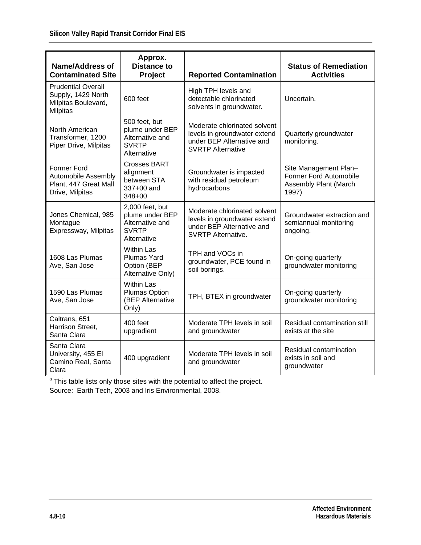| <b>Name/Address of</b><br><b>Contaminated Site</b>                                        | Approx.<br><b>Distance to</b><br>Project                                             | <b>Reported Contamination</b>                                                                                          | <b>Status of Remediation</b><br><b>Activities</b>                                 |
|-------------------------------------------------------------------------------------------|--------------------------------------------------------------------------------------|------------------------------------------------------------------------------------------------------------------------|-----------------------------------------------------------------------------------|
| <b>Prudential Overall</b><br>Supply, 1429 North<br>Milpitas Boulevard,<br><b>Milpitas</b> | 600 feet                                                                             | High TPH levels and<br>detectable chlorinated<br>solvents in groundwater.                                              | Uncertain.                                                                        |
| North American<br>Transformer, 1200<br>Piper Drive, Milpitas                              | 500 feet, but<br>plume under BEP<br>Alternative and<br><b>SVRTP</b><br>Alternative   | Moderate chlorinated solvent<br>levels in groundwater extend<br>under BEP Alternative and<br><b>SVRTP Alternative</b>  | Quarterly groundwater<br>monitoring.                                              |
| <b>Former Ford</b><br>Automobile Assembly<br>Plant, 447 Great Mall<br>Drive, Milpitas     | <b>Crosses BART</b><br>alignment<br>between STA<br>337+00 and<br>348+00              | Groundwater is impacted<br>with residual petroleum<br>hydrocarbons                                                     | Site Management Plan-<br>Former Ford Automobile<br>Assembly Plant (March<br>1997) |
| Jones Chemical, 985<br>Montague<br>Expressway, Milpitas                                   | 2,000 feet, but<br>plume under BEP<br>Alternative and<br><b>SVRTP</b><br>Alternative | Moderate chlorinated solvent<br>levels in groundwater extend<br>under BEP Alternative and<br><b>SVRTP Alternative.</b> | Groundwater extraction and<br>semiannual monitoring<br>ongoing.                   |
| 1608 Las Plumas<br>Ave, San Jose                                                          | <b>Within Las</b><br><b>Plumas Yard</b><br>Option (BEP<br>Alternative Only)          | TPH and VOCs in<br>groundwater, PCE found in<br>soil borings.                                                          | On-going quarterly<br>groundwater monitoring                                      |
| 1590 Las Plumas<br>Ave, San Jose                                                          | <b>Within Las</b><br><b>Plumas Option</b><br>(BEP Alternative<br>Only)               | TPH, BTEX in groundwater                                                                                               | On-going quarterly<br>groundwater monitoring                                      |
| Caltrans, 651<br>Harrison Street,<br>Santa Clara                                          | 400 feet<br>upgradient                                                               | Moderate TPH levels in soil<br>and groundwater                                                                         | Residual contamination still<br>exists at the site                                |
| Santa Clara<br>University, 455 El<br>Camino Real, Santa<br>Clara                          | 400 upgradient                                                                       | Moderate TPH levels in soil<br>and groundwater                                                                         | Residual contamination<br>exists in soil and<br>groundwater                       |

<sup>a</sup> This table lists only those sites with the potential to affect the project. Source: Earth Tech, 2003 and Iris Environmental, 2008.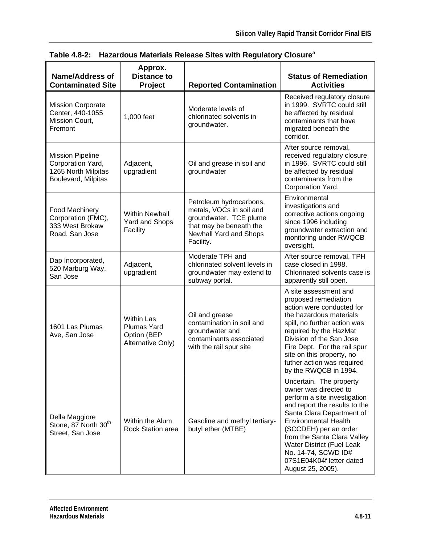| <b>Name/Address of</b><br><b>Contaminated Site</b>                                         | Approx.<br><b>Distance to</b><br><b>Project</b>                      | <b>Reported Contamination</b>                                                                                                                   | <b>Status of Remediation</b><br><b>Activities</b>                                                                                                                                                                                                                                                                                                 |
|--------------------------------------------------------------------------------------------|----------------------------------------------------------------------|-------------------------------------------------------------------------------------------------------------------------------------------------|---------------------------------------------------------------------------------------------------------------------------------------------------------------------------------------------------------------------------------------------------------------------------------------------------------------------------------------------------|
| <b>Mission Corporate</b><br>Center, 440-1055<br>Mission Court,<br>Fremont                  | 1,000 feet                                                           | Moderate levels of<br>chlorinated solvents in<br>groundwater.                                                                                   | Received regulatory closure<br>in 1999. SVRTC could still<br>be affected by residual<br>contaminants that have<br>migrated beneath the<br>corridor.                                                                                                                                                                                               |
| <b>Mission Pipeline</b><br>Corporation Yard,<br>1265 North Milpitas<br>Boulevard, Milpitas | Adjacent,<br>upgradient                                              | Oil and grease in soil and<br>groundwater                                                                                                       | After source removal,<br>received regulatory closure<br>in 1996. SVRTC could still<br>be affected by residual<br>contaminants from the<br>Corporation Yard.                                                                                                                                                                                       |
| Food Machinery<br>Corporation (FMC),<br>333 West Brokaw<br>Road, San Jose                  | <b>Within Newhall</b><br><b>Yard and Shops</b><br>Facility           | Petroleum hydrocarbons,<br>metals, VOCs in soil and<br>groundwater. TCE plume<br>that may be beneath the<br>Newhall Yard and Shops<br>Facility. | Environmental<br>investigations and<br>corrective actions ongoing<br>since 1996 including<br>groundwater extraction and<br>monitoring under RWQCB<br>oversight.                                                                                                                                                                                   |
| Dap Incorporated,<br>520 Marburg Way,<br>San Jose                                          | Adjacent,<br>upgradient                                              | Moderate TPH and<br>chlorinated solvent levels in<br>groundwater may extend to<br>subway portal.                                                | After source removal, TPH<br>case closed in 1998.<br>Chlorinated solvents case is<br>apparently still open.                                                                                                                                                                                                                                       |
| 1601 Las Plumas<br>Ave, San Jose                                                           | <b>Within Las</b><br>Plumas Yard<br>Option (BEP<br>Alternative Only) | Oil and grease<br>contamination in soil and<br>groundwater and<br>contaminants associated<br>with the rail spur site                            | A site assessment and<br>proposed remediation<br>action were conducted for<br>the hazardous materials<br>spill, no further action was<br>required by the HazMat<br>Division of the San Jose<br>Fire Dept. For the rail spur<br>site on this property, no<br>futher action was required<br>by the RWQCB in 1994.                                   |
| Della Maggiore<br>Stone, 87 North 30 <sup>th</sup><br>Street, San Jose                     | Within the Alum<br>Rock Station area                                 | Gasoline and methyl tertiary-<br>butyl ether (MTBE)                                                                                             | Uncertain. The property<br>owner was directed to<br>perform a site investigation<br>and report the results to the<br>Santa Clara Department of<br><b>Environmental Health</b><br>(SCCDEH) per an order<br>from the Santa Clara Valley<br><b>Water District (Fuel Leak</b><br>No. 14-74, SCWD ID#<br>07S1E04K04f letter dated<br>August 25, 2005). |

**Table 4.8-2: Hazardous Materials Release Sites with Regulatory Closure<sup>a</sup>**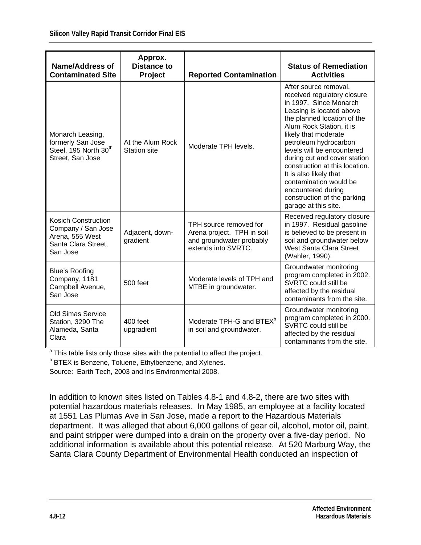| <b>Name/Address of</b><br><b>Contaminated Site</b>                                                     | Approx.<br><b>Distance to</b><br>Project | <b>Reported Contamination</b>                                                                           | <b>Status of Remediation</b><br><b>Activities</b>                                                                                                                                                                                                                                                                                                                                                                                                       |
|--------------------------------------------------------------------------------------------------------|------------------------------------------|---------------------------------------------------------------------------------------------------------|---------------------------------------------------------------------------------------------------------------------------------------------------------------------------------------------------------------------------------------------------------------------------------------------------------------------------------------------------------------------------------------------------------------------------------------------------------|
| Monarch Leasing,<br>formerly San Jose<br>Steel, 195 North 30 <sup>th</sup><br>Street, San Jose         | At the Alum Rock<br><b>Station site</b>  | Moderate TPH levels.                                                                                    | After source removal,<br>received regulatory closure<br>in 1997. Since Monarch<br>Leasing is located above<br>the planned location of the<br>Alum Rock Station, it is<br>likely that moderate<br>petroleum hydrocarbon<br>levels will be encountered<br>during cut and cover station<br>construction at this location.<br>It is also likely that<br>contamination would be<br>encountered during<br>construction of the parking<br>garage at this site. |
| <b>Kosich Construction</b><br>Company / San Jose<br>Arena, 555 West<br>Santa Clara Street,<br>San Jose | Adjacent, down-<br>gradient              | TPH source removed for<br>Arena project. TPH in soil<br>and groundwater probably<br>extends into SVRTC. | Received regulatory closure<br>in 1997. Residual gasoline<br>is believed to be present in<br>soil and groundwater below<br>West Santa Clara Street<br>(Wahler, 1990).                                                                                                                                                                                                                                                                                   |
| <b>Blue's Roofing</b><br>Company, 1181<br>Campbell Avenue,<br>San Jose                                 | 500 feet                                 | Moderate levels of TPH and<br>MTBE in groundwater.                                                      | Groundwater monitoring<br>program completed in 2002.<br>SVRTC could still be<br>affected by the residual<br>contaminants from the site.                                                                                                                                                                                                                                                                                                                 |
| <b>Old Simas Service</b><br>Station, 3290 The<br>Alameda, Santa<br>Clara                               | 400 feet<br>upgradient                   | Moderate TPH-G and BTEX <sup>b</sup><br>in soil and groundwater.                                        | Groundwater monitoring<br>program completed in 2000.<br>SVRTC could still be<br>affected by the residual<br>contaminants from the site.                                                                                                                                                                                                                                                                                                                 |

<sup>a</sup> This table lists only those sites with the potential to affect the project.

**BTEX** is Benzene, Toluene, Ethylbenzene, and Xylenes.

Source: Earth Tech, 2003 and Iris Environmental 2008.

In addition to known sites listed on Tables 4.8-1 and 4.8-2, there are two sites with potential hazardous materials releases. In May 1985, an employee at a facility located at 1551 Las Plumas Ave in San Jose, made a report to the Hazardous Materials department. It was alleged that about 6,000 gallons of gear oil, alcohol, motor oil, paint, and paint stripper were dumped into a drain on the property over a five-day period. No additional information is available about this potential release. At 520 Marburg Way, the Santa Clara County Department of Environmental Health conducted an inspection of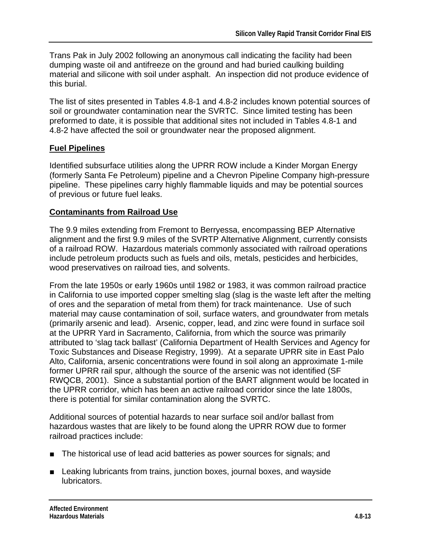Trans Pak in July 2002 following an anonymous call indicating the facility had been dumping waste oil and antifreeze on the ground and had buried caulking building material and silicone with soil under asphalt. An inspection did not produce evidence of this burial.

The list of sites presented in Tables 4.8-1 and 4.8-2 includes known potential sources of soil or groundwater contamination near the SVRTC. Since limited testing has been preformed to date, it is possible that additional sites not included in Tables 4.8-1 and 4.8-2 have affected the soil or groundwater near the proposed alignment.

## **Fuel Pipelines**

Identified subsurface utilities along the UPRR ROW include a Kinder Morgan Energy (formerly Santa Fe Petroleum) pipeline and a Chevron Pipeline Company high-pressure pipeline. These pipelines carry highly flammable liquids and may be potential sources of previous or future fuel leaks.

## **Contaminants from Railroad Use**

The 9.9 miles extending from Fremont to Berryessa, encompassing BEP Alternative alignment and the first 9.9 miles of the SVRTP Alternative Alignment, currently consists of a railroad ROW. Hazardous materials commonly associated with railroad operations include petroleum products such as fuels and oils, metals, pesticides and herbicides, wood preservatives on railroad ties, and solvents.

From the late 1950s or early 1960s until 1982 or 1983, it was common railroad practice in California to use imported copper smelting slag (slag is the waste left after the melting of ores and the separation of metal from them) for track maintenance. Use of such material may cause contamination of soil, surface waters, and groundwater from metals (primarily arsenic and lead). Arsenic, copper, lead, and zinc were found in surface soil at the UPRR Yard in Sacramento, California, from which the source was primarily attributed to 'slag tack ballast' (California Department of Health Services and Agency for Toxic Substances and Disease Registry, 1999). At a separate UPRR site in East Palo Alto, California, arsenic concentrations were found in soil along an approximate 1-mile former UPRR rail spur, although the source of the arsenic was not identified (SF RWQCB, 2001). Since a substantial portion of the BART alignment would be located in the UPRR corridor, which has been an active railroad corridor since the late 1800s, there is potential for similar contamination along the SVRTC.

Additional sources of potential hazards to near surface soil and/or ballast from hazardous wastes that are likely to be found along the UPRR ROW due to former railroad practices include:

- The historical use of lead acid batteries as power sources for signals; and
- Leaking lubricants from trains, junction boxes, journal boxes, and wayside lubricators.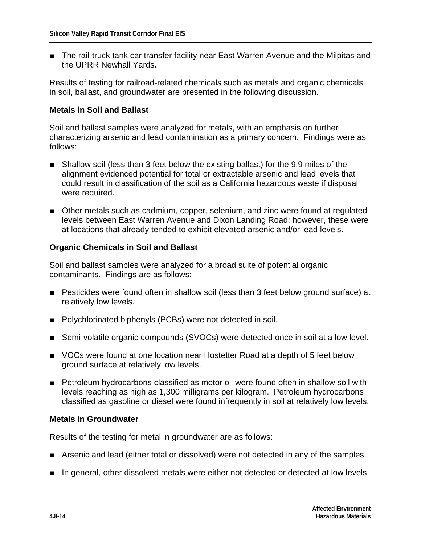■ The rail-truck tank car transfer facility near East Warren Avenue and the Milpitas and the UPRR Newhall Yards**.**

Results of testing for railroad-related chemicals such as metals and organic chemicals in soil, ballast, and groundwater are presented in the following discussion.

#### **Metals in Soil and Ballast**

Soil and ballast samples were analyzed for metals, with an emphasis on further characterizing arsenic and lead contamination as a primary concern. Findings were as follows:

- Shallow soil (less than 3 feet below the existing ballast) for the 9.9 miles of the alignment evidenced potential for total or extractable arsenic and lead levels that could result in classification of the soil as a California hazardous waste if disposal were required.
- Other metals such as cadmium, copper, selenium, and zinc were found at regulated levels between East Warren Avenue and Dixon Landing Road; however, these were at locations that already tended to exhibit elevated arsenic and/or lead levels.

#### **Organic Chemicals in Soil and Ballast**

Soil and ballast samples were analyzed for a broad suite of potential organic contaminants. Findings are as follows:

- Pesticides were found often in shallow soil (less than 3 feet below ground surface) at relatively low levels.
- Polychlorinated biphenyls (PCBs) were not detected in soil.
- Semi-volatile organic compounds (SVOCs) were detected once in soil at a low level.
- VOCs were found at one location near Hostetter Road at a depth of 5 feet below ground surface at relatively low levels.
- Petroleum hydrocarbons classified as motor oil were found often in shallow soil with levels reaching as high as 1,300 milligrams per kilogram. Petroleum hydrocarbons classified as gasoline or diesel were found infrequently in soil at relatively low levels.

#### **Metals in Groundwater**

Results of the testing for metal in groundwater are as follows:

- Arsenic and lead (either total or dissolved) were not detected in any of the samples.
- In general, other dissolved metals were either not detected or detected at low levels.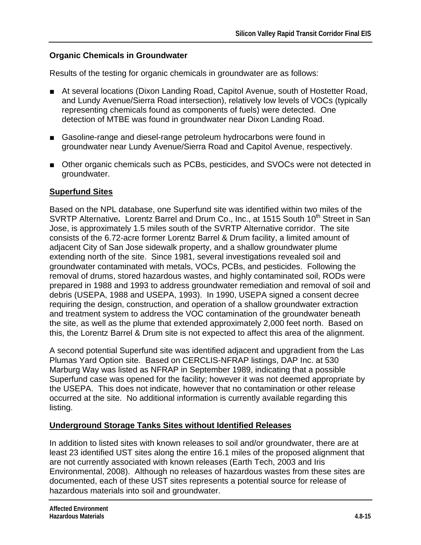## **Organic Chemicals in Groundwater**

Results of the testing for organic chemicals in groundwater are as follows:

- At several locations (Dixon Landing Road, Capitol Avenue, south of Hostetter Road, and Lundy Avenue/Sierra Road intersection), relatively low levels of VOCs (typically representing chemicals found as components of fuels) were detected. One detection of MTBE was found in groundwater near Dixon Landing Road.
- Gasoline-range and diesel-range petroleum hydrocarbons were found in groundwater near Lundy Avenue/Sierra Road and Capitol Avenue, respectively.
- Other organic chemicals such as PCBs, pesticides, and SVOCs were not detected in groundwater.

## **Superfund Sites**

Based on the NPL database, one Superfund site was identified within two miles of the SVRTP Alternative. Lorentz Barrel and Drum Co., Inc., at 1515 South 10<sup>th</sup> Street in San Jose, is approximately 1.5 miles south of the SVRTP Alternative corridor. The site consists of the 6.72-acre former Lorentz Barrel & Drum facility, a limited amount of adjacent City of San Jose sidewalk property, and a shallow groundwater plume extending north of the site. Since 1981, several investigations revealed soil and groundwater contaminated with metals, VOCs, PCBs, and pesticides. Following the removal of drums, stored hazardous wastes, and highly contaminated soil, RODs were prepared in 1988 and 1993 to address groundwater remediation and removal of soil and debris (USEPA, 1988 and USEPA, 1993). In 1990, USEPA signed a consent decree requiring the design, construction, and operation of a shallow groundwater extraction and treatment system to address the VOC contamination of the groundwater beneath the site, as well as the plume that extended approximately 2,000 feet north. Based on this, the Lorentz Barrel & Drum site is not expected to affect this area of the alignment.

A second potential Superfund site was identified adjacent and upgradient from the Las Plumas Yard Option site. Based on CERCLIS-NFRAP listings, DAP Inc. at 530 Marburg Way was listed as NFRAP in September 1989, indicating that a possible Superfund case was opened for the facility; however it was not deemed appropriate by the USEPA. This does not indicate, however that no contamination or other release occurred at the site. No additional information is currently available regarding this listing.

## **Underground Storage Tanks Sites without Identified Releases**

In addition to listed sites with known releases to soil and/or groundwater, there are at least 23 identified UST sites along the entire 16.1 miles of the proposed alignment that are not currently associated with known releases (Earth Tech, 2003 and Iris Environmental, 2008). Although no releases of hazardous wastes from these sites are documented, each of these UST sites represents a potential source for release of hazardous materials into soil and groundwater.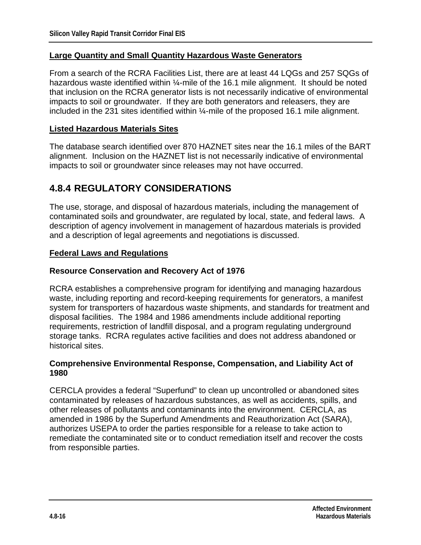#### **Large Quantity and Small Quantity Hazardous Waste Generators**

From a search of the RCRA Facilities List, there are at least 44 LQGs and 257 SQGs of hazardous waste identified within 1/4-mile of the 16.1 mile alignment. It should be noted that inclusion on the RCRA generator lists is not necessarily indicative of environmental impacts to soil or groundwater. If they are both generators and releasers, they are included in the 231 sites identified within ¼-mile of the proposed 16.1 mile alignment.

#### **Listed Hazardous Materials Sites**

The database search identified over 870 HAZNET sites near the 16.1 miles of the BART alignment. Inclusion on the HAZNET list is not necessarily indicative of environmental impacts to soil or groundwater since releases may not have occurred.

## **4.8.4 REGULATORY CONSIDERATIONS**

The use, storage, and disposal of hazardous materials, including the management of contaminated soils and groundwater, are regulated by local, state, and federal laws. A description of agency involvement in management of hazardous materials is provided and a description of legal agreements and negotiations is discussed.

#### **Federal Laws and Regulations**

#### **Resource Conservation and Recovery Act of 1976**

RCRA establishes a comprehensive program for identifying and managing hazardous waste, including reporting and record-keeping requirements for generators, a manifest system for transporters of hazardous waste shipments, and standards for treatment and disposal facilities. The 1984 and 1986 amendments include additional reporting requirements, restriction of landfill disposal, and a program regulating underground storage tanks. RCRA regulates active facilities and does not address abandoned or historical sites.

#### **Comprehensive Environmental Response, Compensation, and Liability Act of 1980**

CERCLA provides a federal "Superfund" to clean up uncontrolled or abandoned sites contaminated by releases of hazardous substances, as well as accidents, spills, and other releases of pollutants and contaminants into the environment. CERCLA, as amended in 1986 by the Superfund Amendments and Reauthorization Act (SARA), authorizes USEPA to order the parties responsible for a release to take action to remediate the contaminated site or to conduct remediation itself and recover the costs from responsible parties.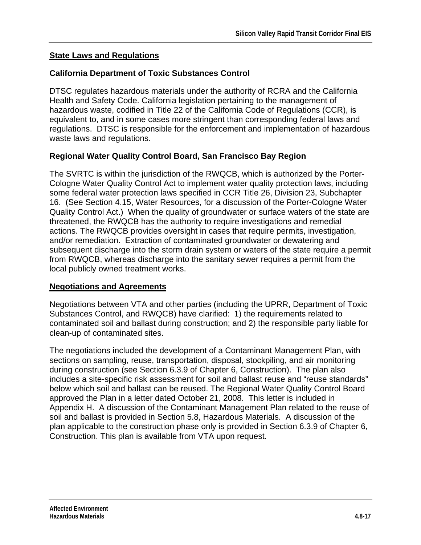## **State Laws and Regulations**

## **California Department of Toxic Substances Control**

DTSC regulates hazardous materials under the authority of RCRA and the California Health and Safety Code. California legislation pertaining to the management of hazardous waste, codified in Title 22 of the California Code of Regulations (CCR), is equivalent to, and in some cases more stringent than corresponding federal laws and regulations. DTSC is responsible for the enforcement and implementation of hazardous waste laws and regulations.

## **Regional Water Quality Control Board, San Francisco Bay Region**

The SVRTC is within the jurisdiction of the RWQCB, which is authorized by the Porter-Cologne Water Quality Control Act to implement water quality protection laws, including some federal water protection laws specified in CCR Title 26, Division 23, Subchapter 16. (See Section 4.15, Water Resources, for a discussion of the Porter-Cologne Water Quality Control Act.) When the quality of groundwater or surface waters of the state are threatened, the RWQCB has the authority to require investigations and remedial actions. The RWQCB provides oversight in cases that require permits, investigation, and/or remediation. Extraction of contaminated groundwater or dewatering and subsequent discharge into the storm drain system or waters of the state require a permit from RWQCB, whereas discharge into the sanitary sewer requires a permit from the local publicly owned treatment works.

## **Negotiations and Agreements**

Negotiations between VTA and other parties (including the UPRR, Department of Toxic Substances Control, and RWQCB) have clarified: 1) the requirements related to contaminated soil and ballast during construction; and 2) the responsible party liable for clean-up of contaminated sites.

The negotiations included the development of a Contaminant Management Plan, with sections on sampling, reuse, transportation, disposal, stockpiling, and air monitoring during construction (see Section 6.3.9 of Chapter 6, Construction). The plan also includes a site-specific risk assessment for soil and ballast reuse and "reuse standards" below which soil and ballast can be reused. The Regional Water Quality Control Board approved the Plan in a letter dated October 21, 2008. This letter is included in Appendix H. A discussion of the Contaminant Management Plan related to the reuse of soil and ballast is provided in Section 5.8, Hazardous Materials. A discussion of the plan applicable to the construction phase only is provided in Section 6.3.9 of Chapter 6, Construction. This plan is available from VTA upon request.